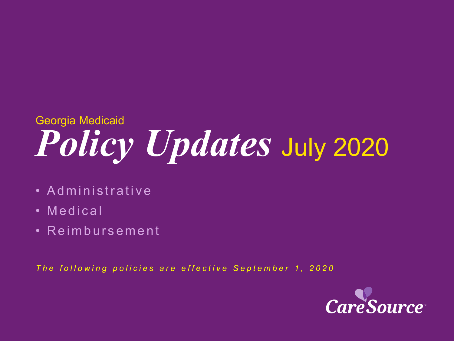# *Policy Updates* July 2020 Georgia Medicaid

- Administrative
- Medical
- Reimbursement

*The following policies are effective September 1, 2020*

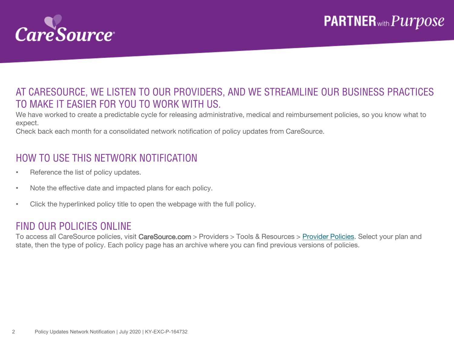

### AT CARESOURCE, WE LISTEN TO OUR PROVIDERS, AND WE STREAMLINE OUR BUSINESS PRACTICES TO MAKE IT EASIER FOR YOU TO WORK WITH US.

We have worked to create a predictable cycle for releasing administrative, medical and reimbursement policies, so you know what to expect.

Check back each month for a consolidated network notification of policy updates from CareSource.

### HOW TO USE THIS NETWORK NOTIFICATION

- Reference the list of policy updates.
- Note the effective date and impacted plans for each policy.
- Click the hyperlinked policy title to open the webpage with the full policy.

#### FIND OUR POLICIES ONLINE

To access all CareSource policies, visit CareSource.com > Providers > Tools & Resources > [Provider Policies.](https://www.caresource.com/providers/tools-resources/health-partner-policies/) Select your plan and state, then the type of policy. Each policy page has an archive where you can find previous versions of policies.